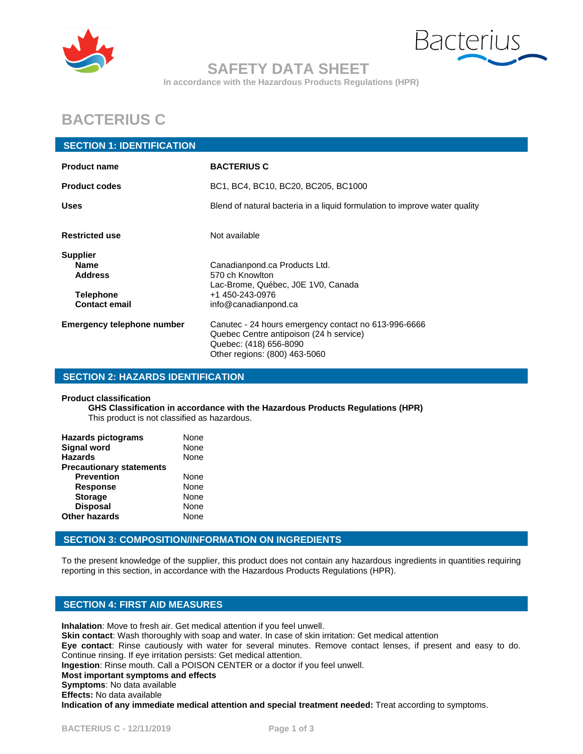



## **SAFETY DATA SHEET**

**In accordance with the Hazardous Products Regulations (HPR)**

# **BACTERIUS C**

#### **SECTION 1: IDENTIFICATION**

| <b>Product name</b>                                                                          | <b>BACTERIUS C</b>                                                                                                                                         |
|----------------------------------------------------------------------------------------------|------------------------------------------------------------------------------------------------------------------------------------------------------------|
| <b>Product codes</b>                                                                         | BC1, BC4, BC10, BC20, BC205, BC1000                                                                                                                        |
| <b>Uses</b>                                                                                  | Blend of natural bacteria in a liquid formulation to improve water quality                                                                                 |
| <b>Restricted use</b>                                                                        | Not available                                                                                                                                              |
| <b>Supplier</b><br><b>Name</b><br><b>Address</b><br><b>Telephone</b><br><b>Contact email</b> | Canadianpond.ca Products Ltd.<br>570 ch Knowlton<br>Lac-Brome, Québec, J0E 1V0, Canada<br>+1 450-243-0976<br>info@canadianpond.ca                          |
| <b>Emergency telephone number</b>                                                            | Canutec - 24 hours emergency contact no 613-996-6666<br>Quebec Centre antipoison (24 h service)<br>Quebec: (418) 656-8090<br>Other regions: (800) 463-5060 |

#### **SECTION 2: HAZARDS IDENTIFICATION**

#### **Product classification**

**GHS Classification in accordance with the Hazardous Products Regulations (HPR)** This product is not classified as hazardous.

| <b>Hazards pictograms</b>       | None |
|---------------------------------|------|
| <b>Signal word</b>              | None |
| <b>Hazards</b>                  | None |
| <b>Precautionary statements</b> |      |
| <b>Prevention</b>               | None |
| <b>Response</b>                 | None |
| <b>Storage</b>                  | None |
| <b>Disposal</b>                 | None |
| <b>Other hazards</b>            | None |
|                                 |      |

#### **SECTION 3: COMPOSITION/INFORMATION ON INGREDIENTS**

To the present knowledge of the supplier, this product does not contain any hazardous ingredients in quantities requiring reporting in this section, in accordance with the Hazardous Products Regulations (HPR).

#### **SECTION 4: FIRST AID MEASURES**

**Inhalation**: Move to fresh air. Get medical attention if you feel unwell. **Skin contact**: Wash thoroughly with soap and water. In case of skin irritation: Get medical attention **Eye contact**: Rinse cautiously with water for several minutes. Remove contact lenses, if present and easy to do. Continue rinsing. If eye irritation persists: Get medical attention. **Ingestion**: Rinse mouth. Call a POISON CENTER or a doctor if you feel unwell. **Most important symptoms and effects Symptoms**: No data available **Effects:** No data available **Indication of any immediate medical attention and special treatment needed:** Treat according to symptoms.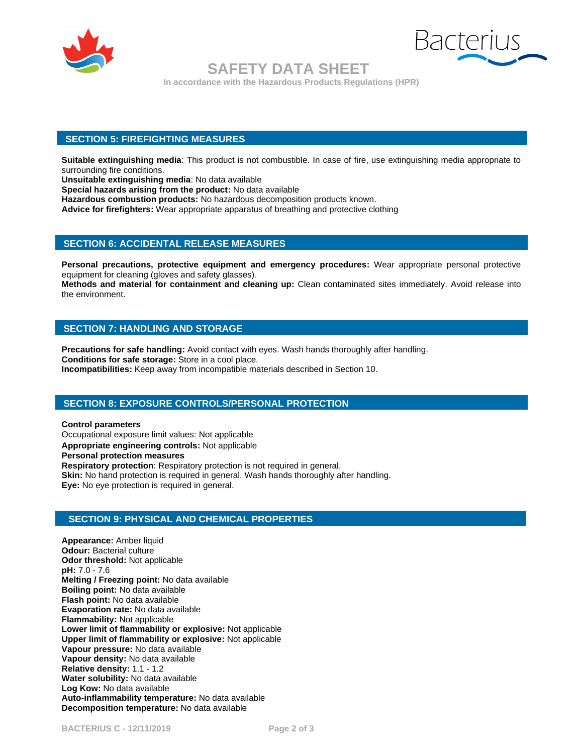



 **SAFETY DATA SHEET In accordance with the Hazardous Products Regulations (HPR)**

#### **SECTION 5: FIREFIGHTING MEASURES**

**Suitable extinguishing media**: This product is not combustible. In case of fire, use extinguishing media appropriate to surrounding fire conditions.

**Unsuitable extinguishing media**: No data available

**Special hazards arising from the product:** No data available

**Hazardous combustion products:** No hazardous decomposition products known.

**Advice for firefighters:** Wear appropriate apparatus of breathing and protective clothing

#### **SECTION 6: ACCIDENTAL RELEASE MEASURES**

**Personal precautions, protective equipment and emergency procedures:** Wear appropriate personal protective equipment for cleaning (gloves and safety glasses).

**Methods and material for containment and cleaning up:** Clean contaminated sites immediately. Avoid release into the environment.

#### **SECTION 7: HANDLING AND STORAGE**

**Precautions for safe handling:** Avoid contact with eyes. Wash hands thoroughly after handling. **Conditions for safe storage:** Store in a cool place. **Incompatibilities:** Keep away from incompatible materials described in Section 10.

#### **SECTION 8: EXPOSURE CONTROLS/PERSONAL PROTECTION**

**Control parameters** Occupational exposure limit values: Not applicable **Appropriate engineering controls:** Not applicable **Personal protection measures Respiratory protection**: Respiratory protection is not required in general. **Skin:** No hand protection is required in general. Wash hands thoroughly after handling. **Eye:** No eye protection is required in general.

#### **SECTION 9: PHYSICAL AND CHEMICAL PROPERTIES**

**Appearance:** Amber liquid **Odour:** Bacterial culture **Odor threshold:** Not applicable **pH:** 7.0 - 7.6 **Melting / Freezing point:** No data available **Boiling point:** No data available **Flash point:** No data available **Evaporation rate:** No data available **Flammability:** Not applicable **Lower limit of flammability or explosive:** Not applicable **Upper limit of flammability or explosive:** Not applicable **Vapour pressure:** No data available **Vapour density:** No data available **Relative density:** 1.1 - 1.2 **Water solubility:** No data available **Log Kow:** No data available **Auto-inflammability temperature:** No data available **Decomposition temperature:** No data available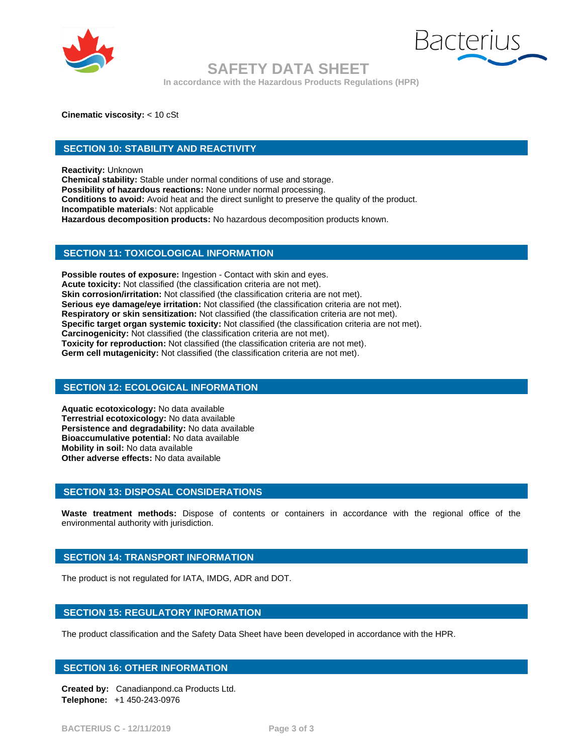



### **SAFETY DATA SHEET**

**In accordance with the Hazardous Products Regulations (HPR)**

**Cinematic viscosity:** < 10 cSt

#### **SECTION 10: STABILITY AND REACTIVITY**

**Reactivity:** Unknown

**Chemical stability:** Stable under normal conditions of use and storage. **Possibility of hazardous reactions:** None under normal processing. **Conditions to avoid:** Avoid heat and the direct sunlight to preserve the quality of the product. **Incompatible materials**: Not applicable **Hazardous decomposition products:** No hazardous decomposition products known.

#### **SECTION 11: TOXICOLOGICAL INFORMATION**

**Possible routes of exposure:** Ingestion - Contact with skin and eyes. **Acute toxicity:** Not classified (the classification criteria are not met). Skin corrosion/irritation: Not classified (the classification criteria are not met). **Serious eye damage/eye irritation:** Not classified (the classification criteria are not met). **Respiratory or skin sensitization:** Not classified (the classification criteria are not met). **Specific target organ systemic toxicity:** Not classified (the classification criteria are not met). **Carcinogenicity:** Not classified (the classification criteria are not met). **Toxicity for reproduction:** Not classified (the classification criteria are not met). **Germ cell mutagenicity:** Not classified (the classification criteria are not met).

#### **SECTION 12: ECOLOGICAL INFORMATION**

**Aquatic ecotoxicology:** No data available **Terrestrial ecotoxicology:** No data available **Persistence and degradability:** No data available **Bioaccumulative potential:** No data available **Mobility in soil:** No data available **Other adverse effects:** No data available

#### **SECTION 13: DISPOSAL CONSIDERATIONS**

**Waste treatment methods:** Dispose of contents or containers in accordance with the regional office of the environmental authority with jurisdiction.

#### **SECTION 14: TRANSPORT INFORMATION**

The product is not regulated for IATA, IMDG, ADR and DOT.

#### **SECTION 15: REGULATORY INFORMATION**

The product classification and the Safety Data Sheet have been developed in accordance with the HPR.

#### **SECTION 16: OTHER INFORMATION**

**Created by:** Canadianpond.ca Products Ltd. **Telephone:** +1 450-243-0976